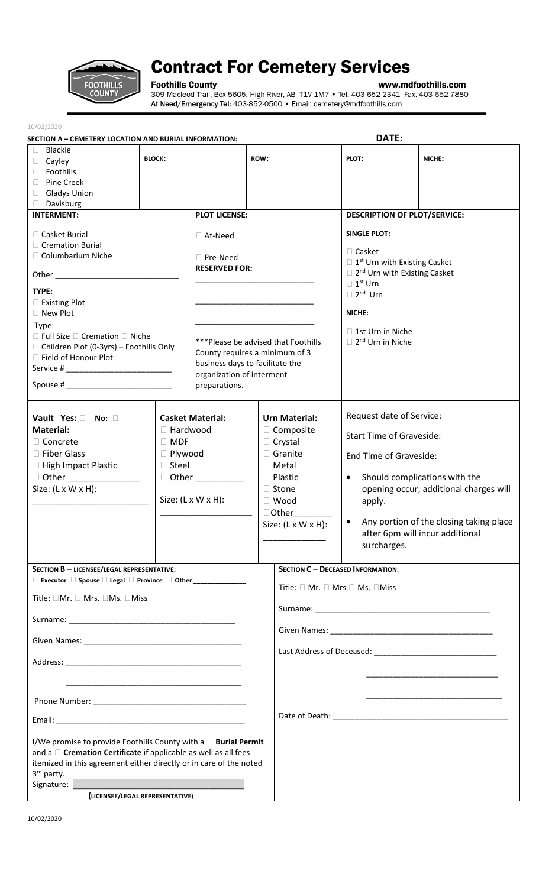

## **Contract For Cemetery Services**

**Foothills County**<br>309 Macleod Trail, Box 5605, High River, AB T1V 1M7 • Tel: 403-652-2341 Fax: 403-652-7880<br>At Need/Emergency Tel: 403-852-0500 • Email: cemetery@mdfoothills.com

| 10/02/2020                                                                                                                                                                                                                                                                               |                                                                 |                                                                                                                                                        |                                                                                                                                                                                             |                                                                                                                                                                                                                                               |                                                                                                                                                                                                                                                                                                   |        |  |
|------------------------------------------------------------------------------------------------------------------------------------------------------------------------------------------------------------------------------------------------------------------------------------------|-----------------------------------------------------------------|--------------------------------------------------------------------------------------------------------------------------------------------------------|---------------------------------------------------------------------------------------------------------------------------------------------------------------------------------------------|-----------------------------------------------------------------------------------------------------------------------------------------------------------------------------------------------------------------------------------------------|---------------------------------------------------------------------------------------------------------------------------------------------------------------------------------------------------------------------------------------------------------------------------------------------------|--------|--|
| SECTION A - CEMETERY LOCATION AND BURIAL INFORMATION:                                                                                                                                                                                                                                    |                                                                 |                                                                                                                                                        |                                                                                                                                                                                             |                                                                                                                                                                                                                                               | DATE:                                                                                                                                                                                                                                                                                             |        |  |
| $\Box$<br>Blackie<br>Cayley<br>$\Box$<br>□ Foothills<br>Pine Creek<br>П.                                                                                                                                                                                                                 | <b>BLOCK:</b>                                                   |                                                                                                                                                        | ROW:                                                                                                                                                                                        |                                                                                                                                                                                                                                               | PLOT:                                                                                                                                                                                                                                                                                             | NICHE: |  |
| <b>Gladys Union</b><br>$\Box$                                                                                                                                                                                                                                                            |                                                                 |                                                                                                                                                        |                                                                                                                                                                                             |                                                                                                                                                                                                                                               |                                                                                                                                                                                                                                                                                                   |        |  |
| Davisburg<br>$\Box$                                                                                                                                                                                                                                                                      |                                                                 | <b>PLOT LICENSE:</b>                                                                                                                                   |                                                                                                                                                                                             |                                                                                                                                                                                                                                               |                                                                                                                                                                                                                                                                                                   |        |  |
| <b>INTERMENT:</b><br>□ Casket Burial<br>□ Cremation Burial<br>□ Columbarium Niche<br>TYPE:                                                                                                                                                                                               |                                                                 | $\Box$ At-Need<br>$\Box$ Pre-Need<br><b>RESERVED FOR:</b>                                                                                              |                                                                                                                                                                                             | <b>DESCRIPTION OF PLOT/SERVICE:</b><br><b>SINGLE PLOT:</b><br>$\Box$ Casket<br>$\Box$ 1 <sup>st</sup> Urn with Existing Casket<br>$\Box$ 2 <sup>nd</sup> Urn with Existing Casket<br>$\Box$ 1 <sup>st</sup> Urn<br>$\Box$ 2 <sup>nd</sup> Urn |                                                                                                                                                                                                                                                                                                   |        |  |
| Existing Plot<br>□ New Plot                                                                                                                                                                                                                                                              |                                                                 |                                                                                                                                                        |                                                                                                                                                                                             | NICHE:<br>$\Box$ 1st Urn in Niche<br>$\Box$ 2 <sup>nd</sup> Urn in Niche                                                                                                                                                                      |                                                                                                                                                                                                                                                                                                   |        |  |
| Type:<br>$\Box$ Full Size $\Box$ Cremation $\Box$ Niche<br>$\Box$ Children Plot (0-3yrs) – Foothills Only<br>□ Field of Honour Plot                                                                                                                                                      |                                                                 | ***Please be advised that Foothills<br>County requires a minimum of 3<br>business days to facilitate the<br>organization of interment<br>preparations. |                                                                                                                                                                                             |                                                                                                                                                                                                                                               |                                                                                                                                                                                                                                                                                                   |        |  |
| Vault Yes: No: 0<br><b>Material:</b><br>$\Box$ Concrete<br>□ Fiber Glass<br>□ High Impact Plastic<br>D Other __________________<br>Size: $(L \times W \times H)$ :                                                                                                                       | $\Box$ Hardwood<br>$\Box$ MDF<br>$\Box$ Plywood<br>$\Box$ Steel | <b>Casket Material:</b><br>□ Other ___________<br>Size: $(L \times W \times H)$ :                                                                      | <b>Urn Material:</b><br>□ Composite<br>$\Box$ Crystal<br>$\Box$ Granite<br>$\Box$ Metal<br>$\Box$ Plastic<br>$\Box$ Stone<br>$\Box$ Wood<br>$\Box$ Other<br>Size: $(L \times W \times H)$ : |                                                                                                                                                                                                                                               | Request date of Service:<br><b>Start Time of Graveside:</b><br>End Time of Graveside:<br>Should complications with the<br>$\bullet$<br>opening occur; additional charges will<br>apply.<br>Any portion of the closing taking place<br>$\bullet$<br>after 6pm will incur additional<br>surcharges. |        |  |
| SECTION B - LICENSEE/LEGAL REPRESENTATIVE:                                                                                                                                                                                                                                               |                                                                 |                                                                                                                                                        |                                                                                                                                                                                             | SECTION C - DECEASED INFORMATION:                                                                                                                                                                                                             |                                                                                                                                                                                                                                                                                                   |        |  |
| □ Executor □ Spouse □ Legal □ Province □ Other ______________                                                                                                                                                                                                                            |                                                                 |                                                                                                                                                        |                                                                                                                                                                                             | Title: □ Mr. □ Mrs. □ Ms. □ Miss                                                                                                                                                                                                              |                                                                                                                                                                                                                                                                                                   |        |  |
| Title: □Mr. □ Mrs. □Ms. □Miss                                                                                                                                                                                                                                                            |                                                                 |                                                                                                                                                        |                                                                                                                                                                                             |                                                                                                                                                                                                                                               |                                                                                                                                                                                                                                                                                                   |        |  |
|                                                                                                                                                                                                                                                                                          |                                                                 |                                                                                                                                                        |                                                                                                                                                                                             |                                                                                                                                                                                                                                               |                                                                                                                                                                                                                                                                                                   |        |  |
| <u> 1980 - Johann Stoff, amerikan bestein de staat in de staat in de staat in de staat in de staat in de staat in</u>                                                                                                                                                                    |                                                                 |                                                                                                                                                        |                                                                                                                                                                                             |                                                                                                                                                                                                                                               |                                                                                                                                                                                                                                                                                                   |        |  |
|                                                                                                                                                                                                                                                                                          |                                                                 |                                                                                                                                                        |                                                                                                                                                                                             |                                                                                                                                                                                                                                               |                                                                                                                                                                                                                                                                                                   |        |  |
|                                                                                                                                                                                                                                                                                          |                                                                 |                                                                                                                                                        |                                                                                                                                                                                             |                                                                                                                                                                                                                                               |                                                                                                                                                                                                                                                                                                   |        |  |
| I/We promise to provide Foothills County with a D Burial Permit<br>and a $\Box$ Cremation Certificate if applicable as well as all fees<br>itemized in this agreement either directly or in care of the noted<br>3 <sup>rd</sup> party.<br>Signature:<br>(LICENSEE/LEGAL REPRESENTATIVE) |                                                                 |                                                                                                                                                        |                                                                                                                                                                                             |                                                                                                                                                                                                                                               |                                                                                                                                                                                                                                                                                                   |        |  |